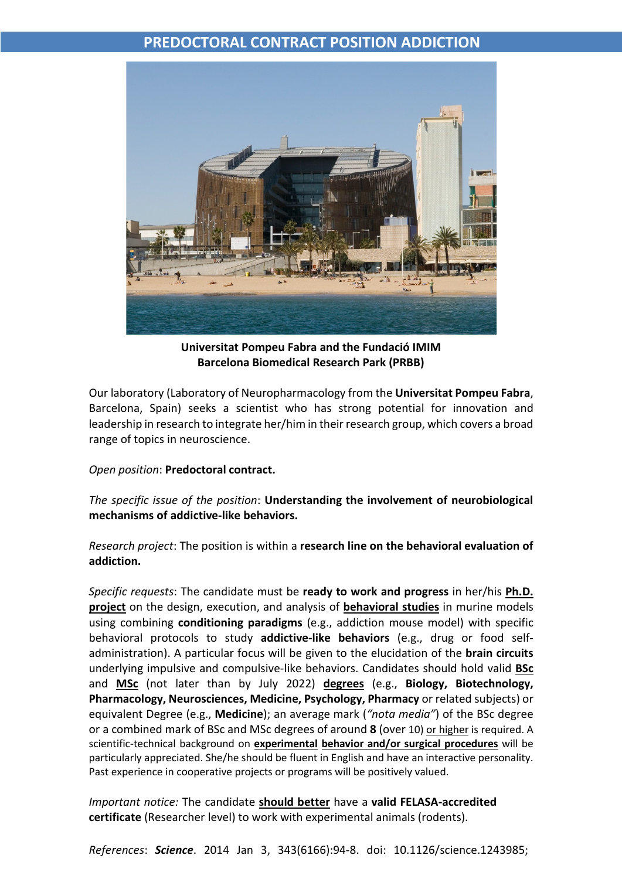## **PREDOCTORAL CONTRACT POSITION ADDICTION**



**Universitat Pompeu Fabra and the Fundació IMIM Barcelona Biomedical Research Park (PRBB)**

Our laboratory (Laboratory of Neuropharmacology from the **Universitat Pompeu Fabra**, Barcelona, Spain) seeks a scientist who has strong potential for innovation and leadership in research to integrate her/him in their research group, which covers a broad range of topics in neuroscience.

## *Open position*: **Predoctoral contract.**

*The specific issue of the position*: **Understanding the involvement of neurobiological mechanisms of addictive-like behaviors.**

*Research project*: The position is within a **research line on the behavioral evaluation of addiction.**

*Specific requests*: The candidate must be **ready to work and progress** in her/his **Ph.D. project** on the design, execution, and analysis of **behavioral studies** in murine models using combining **conditioning paradigms** (e.g., addiction mouse model) with specific behavioral protocols to study **addictive-like behaviors** (e.g., drug or food selfadministration). A particular focus will be given to the elucidation of the **brain circuits**  underlying impulsive and compulsive-like behaviors. Candidates should hold valid **BSc** and **MSc** (not later than by July 2022) **degrees** (e.g., **Biology, Biotechnology, Pharmacology, Neurosciences, Medicine, Psychology, Pharmacy** or related subjects) or equivalent Degree (e.g., **Medicine**); an average mark (*"nota media"*) of the BSc degree or a combined mark of BSc and MSc degrees of around **8** (over 10) or higher is required. A scientific-technical background on **experimental behavior and/or surgical procedures** will be particularly appreciated. She/he should be fluent in English and have an interactive personality. Past experience in cooperative projects or programs will be positively valued.

*Important notice:* The candidate **should better** have a **valid FELASA-accredited certificate** (Researcher level) to work with experimental animals (rodents).